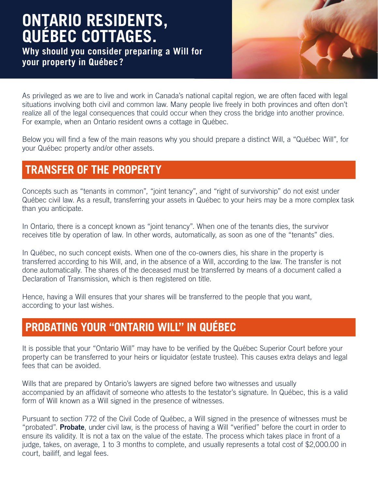# **ONTARIO RESIDENTS, QUÉBEC COTTAGES.**

**Why should you consider preparing a Will for your property in Québec ?** 



As privileged as we are to live and work in Canada's national capital region, we are often faced with legal situations involving both civil and common law. Many people live freely in both provinces and often don't realize all of the legal consequences that could occur when they cross the bridge into another province. For example, when an Ontario resident owns a cottage in Québec.

Below you will find a few of the main reasons why you should prepare a distinct Will, a "Québec Will", for your Québec property and/or other assets.

### **TRANSFER OF THE PROPERTY**

Concepts such as "tenants in common", "joint tenancy", and "right of survivorship" do not exist under Québec civil law. As a result, transferring your assets in Québec to your heirs may be a more complex task than you anticipate.

In Ontario, there is a concept known as "joint tenancy". When one of the tenants dies, the survivor receives title by operation of law. In other words, automatically, as soon as one of the "tenants" dies.

In Québec, no such concept exists. When one of the co-owners dies, his share in the property is transferred according to his Will, and, in the absence of a Will, according to the law. The transfer is not done automatically. The shares of the deceased must be transferred by means of a document called a Declaration of Transmission, which is then registered on title.

Hence, having a Will ensures that your shares will be transferred to the people that you want, according to your last wishes.

## **PROBATING YOUR "ONTARIO WILL" IN QUÉBEC**

It is possible that your "Ontario Will" may have to be verified by the Québec Superior Court before your property can be transferred to your heirs or liquidator (estate trustee). This causes extra delays and legal fees that can be avoided.

Wills that are prepared by Ontario's lawyers are signed before two witnesses and usually accompanied by an affidavit of someone who attests to the testator's signature. In Québec, this is a valid form of Will known as a Will signed in the presence of witnesses.

Pursuant to section 772 of the Civil Code of Québec, a Will signed in the presence of witnesses must be "probated". Probate, under civil law, is the process of having a Will "verified" before the court in order to ensure its validity. It is not a tax on the value of the estate. The process which takes place in front of a judge, takes, on average, 1 to 3 months to complete, and usually represents a total cost of \$2,000.00 in court, bailiff, and legal fees.